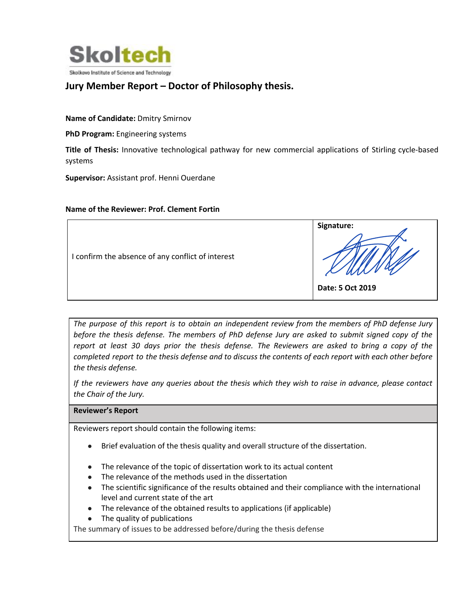

## Jury Member Report – Doctor of Philosophy thesis.

Name of Candidate: Dmitry Smirnov

PhD Program: Engineering systems

Title of Thesis: Innovative technological pathway for new commercial applications of Stirling cycle-based systems

Supervisor: Assistant prof. Henni Ouerdane

## Name of the Reviewer: Prof. Clement Fortin

|                                                   | Signature:       |
|---------------------------------------------------|------------------|
| I confirm the absence of any conflict of interest | Date: 5 Oct 2019 |
|                                                   |                  |

The purpose of this report is to obtain an independent review from the members of PhD defense Jury before the thesis defense. The members of PhD defense Jury are asked to submit signed copy of the report at least 30 days prior the thesis defense. The Reviewers are asked to bring a copy of the completed report to the thesis defense and to discuss the contents of each report with each other before the thesis defense.

If the reviewers have any queries about the thesis which they wish to raise in advance, please contact the Chair of the Jury.

## Reviewer's Report

Reviewers report should contain the following items:

- Brief evaluation of the thesis quality and overall structure of the dissertation.
- The relevance of the topic of dissertation work to its actual content
- The relevance of the methods used in the dissertation
- The scientific significance of the results obtained and their compliance with the international level and current state of the art
- The relevance of the obtained results to applications (if applicable)
- The quality of publications

The summary of issues to be addressed before/during the thesis defense